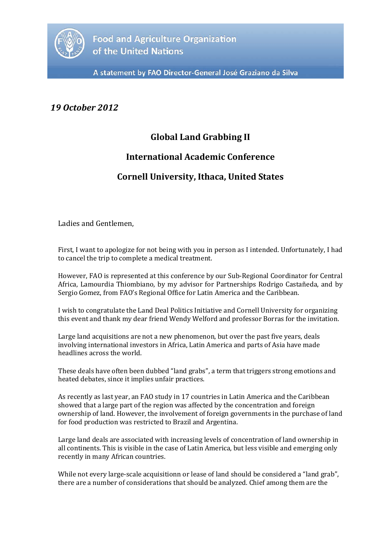

A statement by FAO Director-General José Graziano da Silva

## *19 October 2012*

## **Global Land Grabbing II**

## **International Academic Conference**

## **Cornell University, Ithaca, United States**

Ladies and Gentlemen,

First, I want to apologize for not being with you in person as I intended. Unfortunately, I had to cancel the trip to complete a medical treatment.

However, FAO is represented at this conference by our Sub-Regional Coordinator for Central Africa, Lamourdia Thiombiano, by my advisor for Partnerships Rodrigo Castañeda, and by Sergio Gomez, from FAO's Regional Office for Latin America and the Caribbean.

I wish to congratulate the Land Deal Politics Initiative and Cornell University for organizing this event and thank my dear friend Wendy Welford and professor Borras for the invitation.

Large land acquisitions are not a new phenomenon, but over the past five years, deals involving international investors in Africa, Latin America and parts of Asia have made headlines across the world.

These deals have often been dubbed "land grabs", a term that triggers strong emotions and heated debates, since it implies unfair practices.

As recently as last year, an FAO study in 17 countries in Latin America and the Caribbean showed that a large part of the region was affected by the concentration and foreign ownership of land. However, the involvement of foreign governments in the purchase of land for food production was restricted to Brazil and Argentina.

Large land deals are associated with increasing levels of concentration of land ownership in all continents. This is visible in the case of Latin America, but less visible and emerging only recently in many African countries.

While not every large-scale acquisitionn or lease of land should be considered a "land grab", there are a number of considerations that should be analyzed. Chief among them are the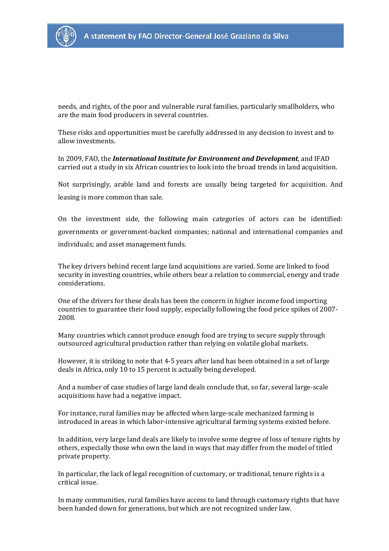

needs, and rights, of the poor and vulnerable rural families, particularly smallholders, who are the main food producers in several countries.

These risks and opportunities must be carefully addressed in any decision to invest and to allow investments.

In 2009, FAO, the *International Institute for Environment and Development*, and IFAD carried out a study in six African countries to look into the broad trends in land acquisition.

Not surprisingly, arable land and forests are usually being targeted for acquisition. And leasing is more common than sale.

On the investment side, the following main categories of actors can be identified: governments or government-backed companies; national and international companies and individuals; and asset management funds.

The key drivers behind recent large land acquisitions are varied. Some are linked to food security in investing countries, while others bear a relation to commercial, energy and trade considerations.

One of the drivers for these deals has been the concern in higher income food importing countries to guarantee their food supply, especially following the food price spikes of 2007- 2008.

Many countries which cannot produce enough food are trying to secure supply through outsourced agricultural production rather than relying on volatile global markets.

However, it is striking to note that 4-5 years after land has been obtained in a set of large deals in Africa, only 10 to 15 percent is actually being developed.

And a number of case studies of large land deals conclude that, so far, several large-scale acquisitions have had a negative impact.

For instance, rural families may be affected when large-scale mechanized farming is introduced in areas in which labor-intensive agricultural farming systems existed before.

In addition, very large land deals are likely to involve some degree of loss of tenure rights by others, especially those who own the land in ways that may differ from the model of titled private property.

In particular, the lack of legal recognition of customary, or traditional, tenure rights is a critical issue.

In many communities, rural families have access to land through customary rights that have been handed down for generations, but which are not recognized under law.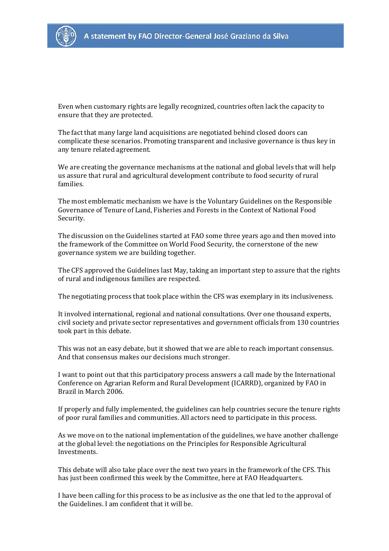

Even when customary rights are legally recognized, countries often lack the capacity to ensure that they are protected.

The fact that many large land acquisitions are negotiated behind closed doors can complicate these scenarios. Promoting transparent and inclusive governance is thus key in any tenure related agreement.

We are creating the governance mechanisms at the national and global levels that will help us assure that rural and agricultural development contribute to food security of rural families.

The most emblematic mechanism we have is the Voluntary Guidelines on the Responsible Governance of Tenure of Land, Fisheries and Forests in the Context of National Food Security.

The discussion on the Guidelines started at FAO some three years ago and then moved into the framework of the Committee on World Food Security, the cornerstone of the new governance system we are building together.

The CFS approved the Guidelines last May, taking an important step to assure that the rights of rural and indigenous families are respected.

The negotiating process that took place within the CFS was exemplary in its inclusiveness.

It involved international, regional and national consultations. Over one thousand experts, civil society and private sector representatives and government officials from 130 countries took part in this debate.

This was not an easy debate, but it showed that we are able to reach important consensus. And that consensus makes our decisions much stronger.

I want to point out that this participatory process answers a call made by the International Conference on Agrarian Reform and Rural Development (ICARRD), organized by FAO in Brazil in March 2006.

If properly and fully implemented, the guidelines can help countries secure the tenure rights of poor rural families and communities. All actors need to participate in this process.

As we move on to the national implementation of the guidelines, we have another challenge at the global level: the negotiations on the Principles for Responsible Agricultural Investments.

This debate will also take place over the next two years in the framework of the CFS. This has just been confirmed this week by the Committee, here at FAO Headquarters.

I have been calling for this process to be as inclusive as the one that led to the approval of the Guidelines. I am confident that it will be.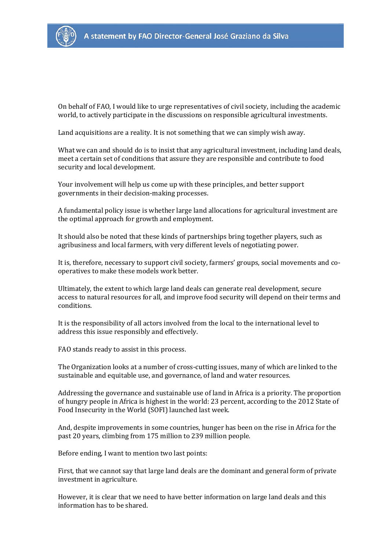

On behalf of FAO, I would like to urge representatives of civil society, including the academic world, to actively participate in the discussions on responsible agricultural investments.

Land acquisitions are a reality. It is not something that we can simply wish away.

What we can and should do is to insist that any agricultural investment, including land deals, meet a certain set of conditions that assure they are responsible and contribute to food security and local development.

Your involvement will help us come up with these principles, and better support governments in their decision-making processes.

A fundamental policy issue is whether large land allocations for agricultural investment are the optimal approach for growth and employment.

It should also be noted that these kinds of partnerships bring together players, such as agribusiness and local farmers, with very different levels of negotiating power.

It is, therefore, necessary to support civil society, farmers' groups, social movements and cooperatives to make these models work better.

Ultimately, the extent to which large land deals can generate real development, secure access to natural resources for all, and improve food security will depend on their terms and conditions.

It is the responsibility of all actors involved from the local to the international level to address this issue responsibly and effectively.

FAO stands ready to assist in this process.

The Organization looks at a number of cross-cutting issues, many of which are linked to the sustainable and equitable use, and governance, of land and water resources.

Addressing the governance and sustainable use of land in Africa is a priority. The proportion of hungry people in Africa is highest in the world: 23 percent, according to the 2012 State of Food Insecurity in the World (SOFI) launched last week.

And, despite improvements in some countries, hunger has been on the rise in Africa for the past 20 years, climbing from 175 million to 239 million people.

Before ending, I want to mention two last points:

First, that we cannot say that large land deals are the dominant and general form of private investment in agriculture.

However, it is clear that we need to have better information on large land deals and this information has to be shared.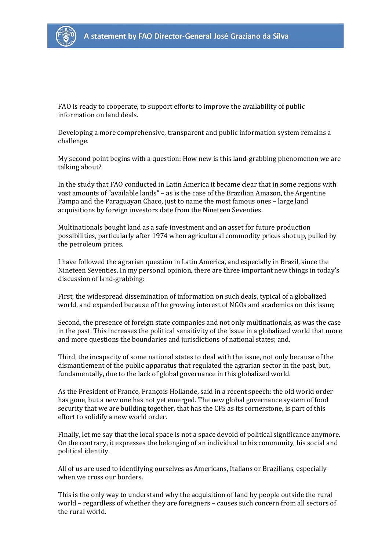

FAO is ready to cooperate, to support efforts to improve the availability of public information on land deals.

Developing a more comprehensive, transparent and public information system remains a challenge.

My second point begins with a question: How new is this land-grabbing phenomenon we are talking about?

In the study that FAO conducted in Latin America it became clear that in some regions with vast amounts of "available lands" – as is the case of the Brazilian Amazon, the Argentine Pampa and the Paraguayan Chaco, just to name the most famous ones – large land acquisitions by foreign investors date from the Nineteen Seventies.

Multinationals bought land as a safe investment and an asset for future production possibilities, particularly after 1974 when agricultural commodity prices shot up, pulled by the petroleum prices.

I have followed the agrarian question in Latin America, and especially in Brazil, since the Nineteen Seventies. In my personal opinion, there are three important new things in today's discussion of land-grabbing:

First, the widespread dissemination of information on such deals, typical of a globalized world, and expanded because of the growing interest of NGOs and academics on this issue;

Second, the presence of foreign state companies and not only multinationals, as was the case in the past. This increases the political sensitivity of the issue in a globalized world that more and more questions the boundaries and jurisdictions of national states; and,

Third, the incapacity of some national states to deal with the issue, not only because of the dismantlement of the public apparatus that regulated the agrarian sector in the past, but, fundamentally, due to the lack of global governance in this globalized world.

As the President of France, François Hollande, said in a recent speech: the old world order has gone, but a new one has not yet emerged. The new global governance system of food security that we are building together, that has the CFS as its cornerstone, is part of this effort to solidify a new world order.

Finally, let me say that the local space is not a space devoid of political significance anymore. On the contrary, it expresses the belonging of an individual to his community, his social and political identity.

All of us are used to identifying ourselves as Americans, Italians or Brazilians, especially when we cross our borders.

This is the only way to understand why the acquisition of land by people outside the rural world – regardless of whether they are foreigners – causes such concern from all sectors of the rural world.